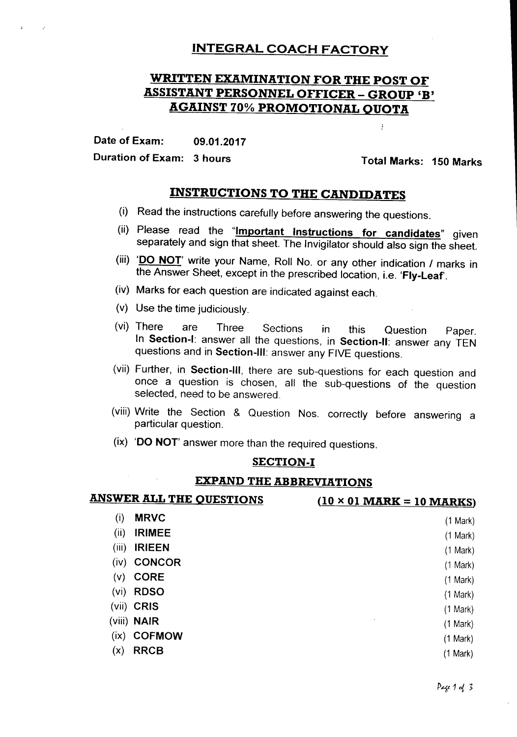## INTEGRAL COACH FACTORY

# WRITTEN EXAMINATION FOR THE POST OF **ASSISTANT PERSONNEL OFFICER - GROUP 'B'** AGAINST 70% PROMOTIONAL QUOTA

Date of Exam: 09.01.2017

Duration of Exam: 3 hours **Total Marks: 150 Marks** 

 $\frac{1}{2}$ 

# INSTRUCTIONS TO THE CANDIDATES

- (i) Read the instructions carefully before answering the questions.
- (ii) Please read the "Important Instructions for candidates" given separately and sign that sheet. The Invigilator should also sign the sheet.
- (iii) 'DO NOT' write your Name, Roll No. or any other indication / marks in the Answer Sheet, except in the prescribed location, i.e. 'Fly-Leaf'.
- (iv) Marks for each question are indicated against each.
- (v) Use the time judiciously.

 $\mathcal{F}^{\text{max}}_{\text{max}}$  and  $\mathcal{F}^{\text{max}}_{\text{max}}$ 

- (vi) There are Three Sections in this Question Paper. In Section-I: answer all the questions, in Section-II: answer any TEN questions and in Section-III: answer any FIVE questions.
- (vii) Further, in Section-III, there are sub-questions for each question and once a question is chosen, all the sub-questions of the question selected, need to be answered.
- (viii) Write the Section & Question Nos. correctly before answering a particular question.
- $(ix)$  'DO NOT' answer more than the required questions.

#### SECTION-I

### EXPAND THE ABBREVIATIONS

| <b>ANSWER ALL THE QUESTIONS</b> | $(10 \times 01$ MARK = 10 MARKS) |
|---------------------------------|----------------------------------|
| <b>MRVC</b><br>(i)              | (1 Mark)                         |
| (ii)<br><b>IRIMEE</b>           | (1 Mark)                         |
| <b>IRIEEN</b><br>(iii)          | (1 Mark)                         |
| <b>CONCOR</b><br>(iv)           | (1 Mark)                         |
| <b>CORE</b><br>(v)              | (1 Mark)                         |
| <b>RDSO</b><br>(vi)             | $(1$ Mark)                       |
| (vii) CRIS                      | (1 Mark)                         |
| (viii) <b>NAIR</b>              | $(1$ Mark $)$                    |
| <b>COFMOW</b><br>(ix)           | (1 Mark)                         |
| <b>RRCB</b><br>(x)              | (1 Mark)                         |
|                                 |                                  |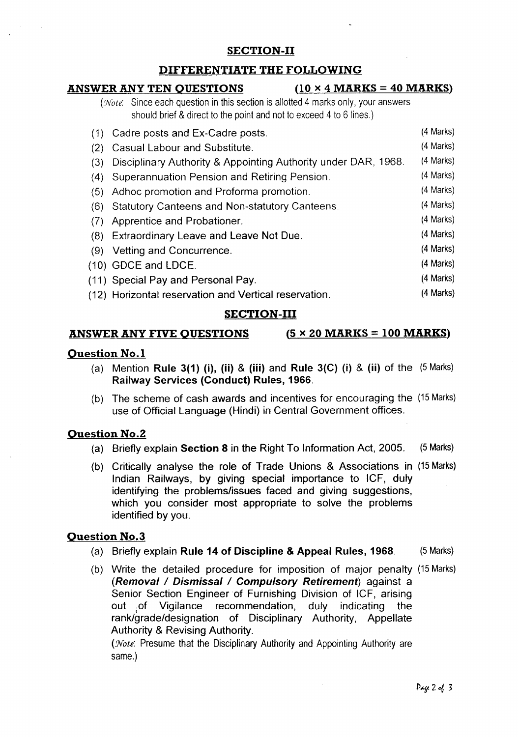### SECTION-II

### DIFFERENTIATE THE FOLLOWING

#### ANSWER ANY TEN OUESTIONS  $(10 \times 4 \text{ MARKS} = 40 \text{ MARKS})$ *(Note:* Since each question in this section is allotted 4 marks only, your answers should brief & direct to the point and not to exceed 4 to 6 lines.) (1) Cadre posts and Ex-Cadre posts. (2) Casual Labour and Substitute. (3) Disciplinary Authority & Appointing Authority under DAR, 1968. (4) Superannuation Pension and Retiring Pension. (5) Adhoc promotion and Proforma promotion. (6) Statutory Canteens and Non-statutory Canteens. (7) Apprentice and Probationer. (8) Extraordinary Leave and Leave Not Due. (9) Vetting and Concurrence. (10) GDCE and LDCE. (11) Special Pay and Personal Pay. (12) Horizontal reservation and Vertical reservation. (4 Marks) (4 Marks) (4 Marks) (4 Marks) (4 Marks) (4 Marks) (4 Marks) (4 Marks) (4 Marks) (4 Marks) (4 Marks) (4 Marks)

#### SECTION-III

#### ANSWER ANY FIVE OUESTIONS  $(5 \times 20 \text{ MARKS} = 100 \text{ MARKS})$

#### Question No.1

- (a) Mention Rule 3(1) (i), (ii) & (iii) and Rule 3(C) (i) & (ii) of the  $(5$  Marks) Railway Services (Conduct) Rules, 1966.
- (b) The scheme of cash awards and incentives for encouraging the (15Marks) use of Official Language (Hindi) in Central Government offices.

#### Question No.2

- (a) Briefly explain Section 8 in the Right To Information Act, 2005. (5Marks)
- (b) Critically analyse the role of Trade Unions & Associations in (15Marks) Indian Railways, by giving special importance to ICF, duly identifying the problems/issues faced and giving suggestions, which you consider most appropriate to solve the problems identified by you.

#### Question No.3

- (a) Briefly explain Rule 14 of Discipline & Appeal Rules, 1968. (5Marks)
- (b) Write the detailed procedure for imposition of major penalty (15Marks) *(Removal/Dismissal/Compulsory Retirement)* against a Senior Section Engineer of Furnishing Division of ICF, arising out .of Vigilance recommendation, duly indicating the rank/grade/designation of Disciplinary Authority, Appellate Authority & Revising Authority.

*(Note:* Presume that the Disciplinary Authority and Appointing Authority are same.)